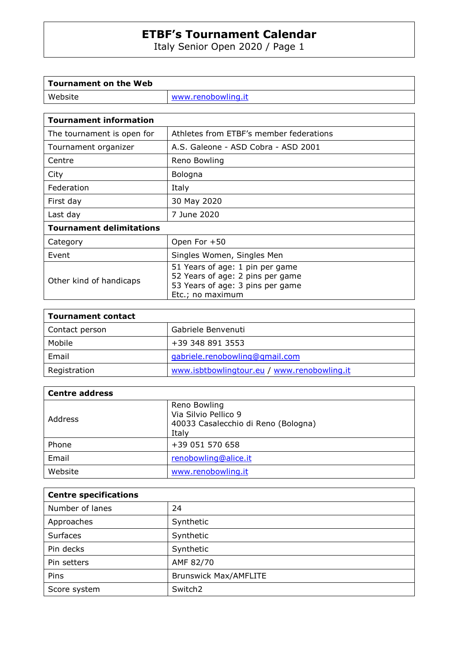Italy Senior Open 2020 / Page 1

| Tournament on the Web |                    |
|-----------------------|--------------------|
| Website               | www.renobowling.it |
|                       |                    |

 $\overline{\phantom{0}}$ 

 $\mathbf{r}$ 

| <b>Tournament information</b>   |                                                                                                                             |  |
|---------------------------------|-----------------------------------------------------------------------------------------------------------------------------|--|
| The tournament is open for      | Athletes from ETBF's member federations                                                                                     |  |
| Tournament organizer            | A.S. Galeone - ASD Cobra - ASD 2001                                                                                         |  |
| Centre                          | Reno Bowling                                                                                                                |  |
| City                            | Bologna                                                                                                                     |  |
| Federation                      | Italy                                                                                                                       |  |
| First day                       | 30 May 2020                                                                                                                 |  |
| Last day                        | 7 June 2020                                                                                                                 |  |
| <b>Tournament delimitations</b> |                                                                                                                             |  |
| Category                        | Open For $+50$                                                                                                              |  |
| Event                           | Singles Women, Singles Men                                                                                                  |  |
| Other kind of handicaps         | 51 Years of age: 1 pin per game<br>52 Years of age: 2 pins per game<br>53 Years of age: 3 pins per game<br>Etc.; no maximum |  |

| <b>Tournament contact</b> |                                             |
|---------------------------|---------------------------------------------|
| Contact person            | Gabriele Benvenuti                          |
| Mobile                    | +39 348 891 3553                            |
| Email                     | gabriele.renobowling@gmail.com              |
| Registration              | www.isbtbowlingtour.eu / www.renobowling.it |

| <b>Centre address</b> |                                                                                      |
|-----------------------|--------------------------------------------------------------------------------------|
| Address               | Reno Bowling<br>Via Silvio Pellico 9<br>40033 Casalecchio di Reno (Bologna)<br>Italy |
| Phone                 | +39 051 570 658                                                                      |
| Email                 | renobowling@alice.it                                                                 |
| Website               | www.renobowling.it                                                                   |

| <b>Centre specifications</b> |                              |
|------------------------------|------------------------------|
| Number of lanes              | 24                           |
| Approaches                   | Synthetic                    |
| <b>Surfaces</b>              | Synthetic                    |
| Pin decks                    | Synthetic                    |
| Pin setters                  | AMF 82/70                    |
| Pins                         | <b>Brunswick Max/AMFLITE</b> |
| Score system                 | Switch <sub>2</sub>          |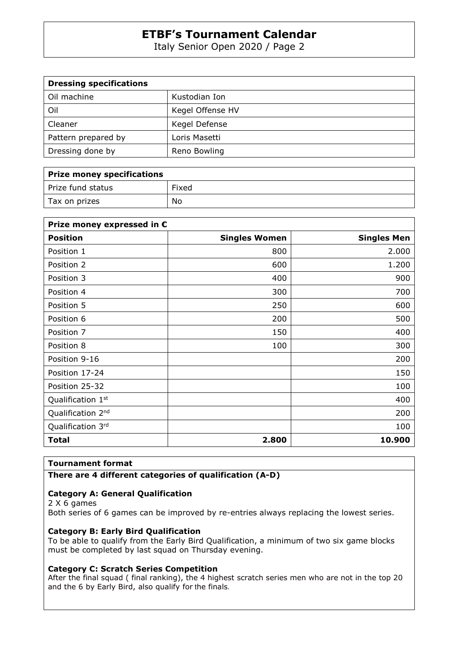Italy Senior Open 2020 / Page 2

| <b>Dressing specifications</b> |                  |
|--------------------------------|------------------|
| Oil machine                    | Kustodian Ion    |
| Oil                            | Kegel Offense HV |
| Cleaner                        | Kegel Defense    |
| Pattern prepared by            | Loris Masetti    |
| Dressing done by               | Reno Bowling     |

| <b>Prize money specifications</b> |       |
|-----------------------------------|-------|
| Prize fund status                 | Fixed |
| Tax on prizes                     | No    |

| Prize money expressed in $\epsilon$ |                      |                    |
|-------------------------------------|----------------------|--------------------|
| <b>Position</b>                     | <b>Singles Women</b> | <b>Singles Men</b> |
| Position 1                          | 800                  | 2.000              |
| Position 2                          | 600                  | 1.200              |
| Position 3                          | 400                  | 900                |
| Position 4                          | 300                  | 700                |
| Position 5                          | 250                  | 600                |
| Position 6                          | 200                  | 500                |
| Position 7                          | 150                  | 400                |
| Position 8                          | 100                  | 300                |
| Position 9-16                       |                      | 200                |
| Position 17-24                      |                      | 150                |
| Position 25-32                      |                      | 100                |
| Qualification 1st                   |                      | 400                |
| Qualification 2 <sup>nd</sup>       |                      | 200                |
| Qualification 3rd                   |                      | 100                |
| <b>Total</b>                        | 2.800                | 10.900             |

#### **Tournament format**

**There are 4 different categories of qualification (A-D)** 

#### **Category A: General Qualification**

2 X 6 games Both series of 6 games can be improved by re-entries always replacing the lowest series.

#### **Category B: Early Bird Qualification**

To be able to qualify from the Early Bird Qualification, a minimum of two six game blocks must be completed by last squad on Thursday evening.

#### **Category C: Scratch Series Competition**

After the final squad ( final ranking), the 4 highest scratch series men who are not in the top 20 and the 6 by Early Bird, also qualify for the finals.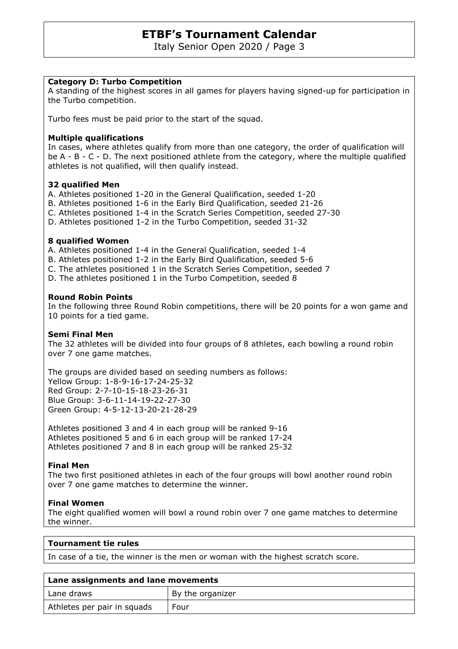Italy Senior Open 2020 / Page 3

#### **Category D: Turbo Competition**

A standing of the highest scores in all games for players having signed-up for participation in the Turbo competition.

Turbo fees must be paid prior to the start of the squad.

#### **Multiple qualifications**

In cases, where athletes qualify from more than one category, the order of qualification will be A - B - C - D. The next positioned athlete from the category, where the multiple qualified athletes is not qualified, will then qualify instead.

#### **32 qualified Men**

A. Athletes positioned 1-20 in the General Qualification, seeded 1-20

- B. Athletes positioned 1-6 in the Early Bird Qualification, seeded 21-26
- C. Athletes positioned 1-4 in the Scratch Series Competition, seeded 27-30
- D. Athletes positioned 1-2 in the Turbo Competition, seeded 31-32

#### **8 qualified Women**

A. Athletes positioned 1-4 in the General Qualification, seeded 1-4

- B. Athletes positioned 1-2 in the Early Bird Qualification, seeded 5-6
- C. The athletes positioned 1 in the Scratch Series Competition, seeded 7
- D. The athletes positioned 1 in the Turbo Competition, seeded 8

#### **Round Robin Points**

In the following three Round Robin competitions, there will be 20 points for a won game and 10 points for a tied game.

#### **Semi Final Men**

The 32 athletes will be divided into four groups of 8 athletes, each bowling a round robin over 7 one game matches.

The groups are divided based on seeding numbers as follows: Yellow Group: 1-8-9-16-17-24-25-32 Red Group: 2-7-10-15-18-23-26-31 Blue Group: 3-6-11-14-19-22-27-30 Green Group: 4-5-12-13-20-21-28-29

Athletes positioned 3 and 4 in each group will be ranked 9-16 Athletes positioned 5 and 6 in each group will be ranked 17-24 Athletes positioned 7 and 8 in each group will be ranked 25-32

#### **Final Men**

The two first positioned athletes in each of the four groups will bowl another round robin over 7 one game matches to determine the winner.

#### **Final Women**

The eight qualified women will bowl a round robin over 7 one game matches to determine the winner.

In case of a tie, the winner is the men or woman with the highest scratch score.

| Lane assignments and lane movements |                  |
|-------------------------------------|------------------|
| Lane draws                          | By the organizer |
| Athletes per pair in squads         | Four             |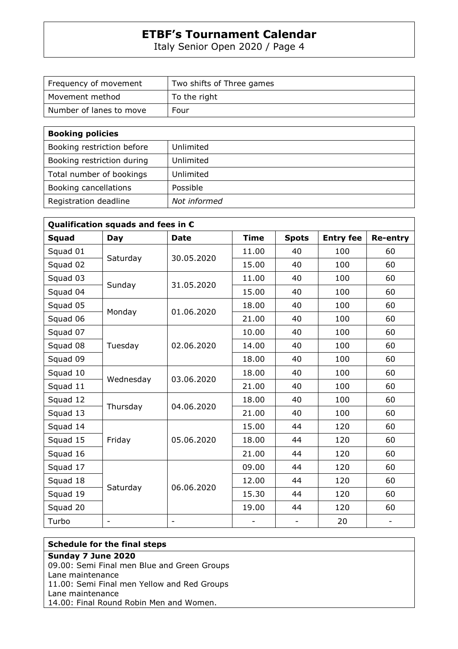Italy Senior Open 2020 / Page 4

| Frequency of movement   | Two shifts of Three games |
|-------------------------|---------------------------|
| Movement method         | To the right              |
| Number of lanes to move | Four                      |

| <b>Booking policies</b>    |              |
|----------------------------|--------------|
| Booking restriction before | Unlimited    |
| Booking restriction during | Unlimited    |
| Total number of bookings   | Unlimited    |
| Booking cancellations      | Possible     |
| Registration deadline      | Not informed |

| Qualification squads and fees in $\epsilon$ |                          |                          |             |              |                  |                          |
|---------------------------------------------|--------------------------|--------------------------|-------------|--------------|------------------|--------------------------|
| <b>Squad</b>                                | <b>Day</b>               | <b>Date</b>              | <b>Time</b> | <b>Spots</b> | <b>Entry fee</b> | <b>Re-entry</b>          |
| Squad 01                                    | Saturday                 | 30.05.2020               | 11.00       | 40           | 100              | 60                       |
| Squad 02                                    |                          |                          | 15.00       | 40           | 100              | 60                       |
| Squad 03                                    | Sunday                   | 31.05.2020               | 11.00       | 40           | 100              | 60                       |
| Squad 04                                    |                          |                          | 15.00       | 40           | 100              | 60                       |
| Squad 05                                    | Monday                   | 01.06.2020               | 18.00       | 40           | 100              | 60                       |
| Squad 06                                    |                          |                          | 21.00       | 40           | 100              | 60                       |
| Squad 07                                    | Tuesday                  | 02.06.2020               | 10.00       | 40           | 100              | 60                       |
| Squad 08                                    |                          |                          | 14.00       | 40           | 100              | 60                       |
| Squad 09                                    |                          |                          | 18.00       | 40           | 100              | 60                       |
| Squad 10                                    | Wednesday                | 03.06.2020               | 18.00       | 40           | 100              | 60                       |
| Squad 11                                    |                          |                          | 21.00       | 40           | 100              | 60                       |
| Squad 12                                    | Thursday                 | 04.06.2020               | 18.00       | 40           | 100              | 60                       |
| Squad 13                                    |                          |                          | 21.00       | 40           | 100              | 60                       |
| Squad 14                                    | Friday                   | 05.06.2020               | 15.00       | 44           | 120              | 60                       |
| Squad 15                                    |                          |                          | 18.00       | 44           | 120              | 60                       |
| Squad 16                                    |                          |                          | 21.00       | 44           | 120              | 60                       |
| Squad 17                                    | Saturday                 | 06.06.2020               | 09.00       | 44           | 120              | 60                       |
| Squad 18                                    |                          |                          | 12.00       | 44           | 120              | 60                       |
| Squad 19                                    |                          |                          | 15.30       | 44           | 120              | 60                       |
| Squad 20                                    |                          |                          | 19.00       | 44           | 120              | 60                       |
| Turbo                                       | $\overline{\phantom{0}}$ | $\overline{\phantom{a}}$ |             |              | 20               | $\overline{\phantom{a}}$ |

### **Schedule for the final steps**

### **Sunday 7 June 2020**

09.00: Semi Final men Blue and Green Groups Lane maintenance 11.00: Semi Final men Yellow and Red Groups

Lane maintenance

14.00: Final Round Robin Men and Women.